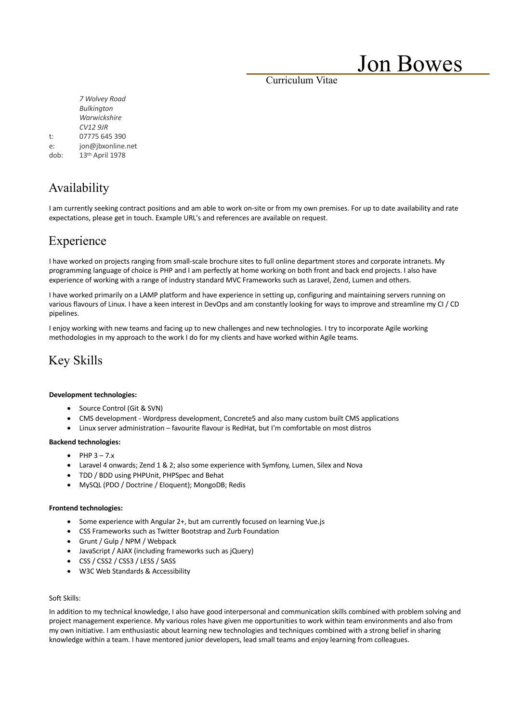# Jon Bowes

Curriculum Vitae

*7 Wolvey Road Bulkington Warwickshire CV12 9JR* t: 07775 645 390 e: jon@jbxonline.net dob: 13th April 1978

# Availability

I am currently seeking contract positions and am able to work on-site or from my own premises. For up to date availability and rate expectations, please get in touch. Example URL's and references are available on request.

# Experience

I have worked on projects ranging from small-scale brochure sites to full online department stores and corporate intranets. My programming language of choice is PHP and I am perfectly at home working on both front and back end projects. I also have experience of working with a range of industry standard MVC Frameworks such as Laravel, Zend, Lumen and others.

I have worked primarily on a LAMP platform and have experience in setting up, configuring and maintaining servers running on various flavours of Linux. I have a keen interest in DevOps and am constantly looking for ways to improve and streamline my CI / CD pipelines.

I enjoy working with new teams and facing up to new challenges and new technologies. I try to incorporate Agile working methodologies in my approach to the work I do for my clients and have worked within Agile teams.

# Key Skills

#### **Development technologies:**

- Source Control (Git & SVN)
- CMS development Wordpress development, Concrete5 and also many custom built CMS applications
- Linux server administration favourite flavour is RedHat, but I'm comfortable on most distros

#### **Backend technologies:**

- $\bullet$  PHP  $3 7.x$
- Laravel 4 onwards; Zend 1 & 2; also some experience with Symfony, Lumen, Silex and Nova
- TDD / BDD using PHPUnit, PHPSpec and Behat
- MySQL (PDO / Doctrine / Eloquent); MongoDB; Redis

#### **Frontend technologies:**

- Some experience with Angular 2+, but am currently focused on learning Vue.js
- CSS Frameworks such as Twitter Bootstrap and Zurb Foundation
- Grunt / Gulp / NPM / Webpack
- JavaScript / AJAX (including frameworks such as jQuery)
- CSS / CSS2 / CSS3 / LESS / SASS
- W3C Web Standards & Accessibility

### Soft Skills:

In addition to my technical knowledge, I also have good interpersonal and communication skills combined with problem solving and project management experience. My various roles have given me opportunities to work within team environments and also from my own initiative. I am enthusiastic about learning new technologies and techniques combined with a strong belief in sharing knowledge within a team. I have mentored junior developers, lead small teams and enjoy learning from colleagues.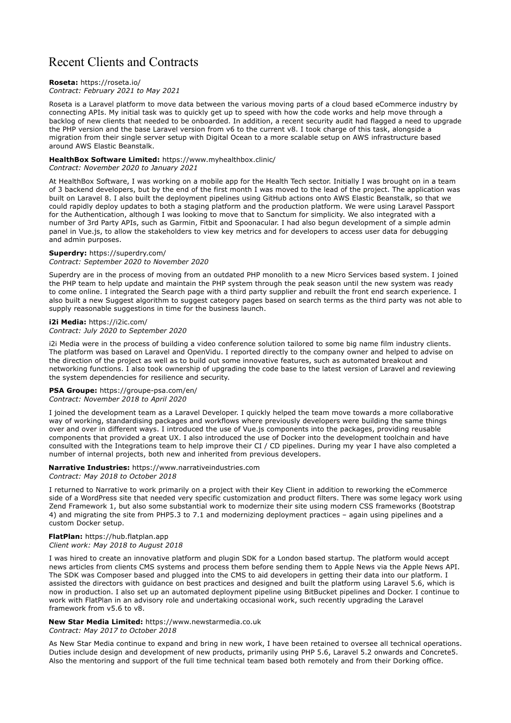# Recent Clients and Contracts

#### **Roseta:** https://roseta.io/

*Contract: February 2021 to May 2021*

Roseta is a Laravel platform to move data between the various moving parts of a cloud based eCommerce industry by connecting APIs. My initial task was to quickly get up to speed with how the code works and help move through a backlog of new clients that needed to be onboarded. In addition, a recent security audit had flagged a need to upgrade the PHP version and the base Laravel version from v6 to the current v8. I took charge of this task, alongside a migration from their single server setup with Digital Ocean to a more scalable setup on AWS infrastructure based around AWS Elastic Beanstalk.

#### **HealthBox Software Limited:** https://www.myhealthbox.clinic/ *Contract: November 2020 to January 2021*

At HealthBox Software, I was working on a mobile app for the Health Tech sector. Initially I was brought on in a team of 3 backend developers, but by the end of the first month I was moved to the lead of the project. The application was built on Laravel 8. I also built the deployment pipelines using GitHub actions onto AWS Elastic Beanstalk, so that we could rapidly deploy updates to both a staging platform and the production platform. We were using Laravel Passport for the Authentication, although I was looking to move that to Sanctum for simplicity. We also integrated with a number of 3rd Party APIs, such as Garmin, Fitbit and Spoonacular. I had also begun development of a simple admin panel in Vue.js, to allow the stakeholders to view key metrics and for developers to access user data for debugging and admin purposes.

#### **Superdry:** https://superdry.com/ *Contract: September 2020 to November 2020*

Superdry are in the process of moving from an outdated PHP monolith to a new Micro Services based system. I joined the PHP team to help update and maintain the PHP system through the peak season until the new system was ready to come online. I integrated the Search page with a third party supplier and rebuilt the front end search experience. I also built a new Suggest algorithm to suggest category pages based on search terms as the third party was not able to supply reasonable suggestions in time for the business launch.

#### **i2i Media:** https://i2ic.com/ *Contract: July 2020 to September 2020*

i2i Media were in the process of building a video conference solution tailored to some big name film industry clients. The platform was based on Laravel and OpenVidu. I reported directly to the company owner and helped to advise on the direction of the project as well as to build out some innovative features, such as automated breakout and networking functions. I also took ownership of upgrading the code base to the latest version of Laravel and reviewing the system dependencies for resilience and security.

#### **PSA Groupe:** https://groupe-psa.com/en/ *Contract: November 2018 to April 2020*

I joined the development team as a Laravel Developer. I quickly helped the team move towards a more collaborative way of working, standardising packages and workflows where previously developers were building the same things over and over in different ways. I introduced the use of Vue.js components into the packages, providing reusable components that provided a great UX. I also introduced the use of Docker into the development toolchain and have consulted with the Integrations team to help improve their CI / CD pipelines. During my year I have also completed a number of internal projects, both new and inherited from previous developers.

#### **Narrative Industries:** https://www.narrativeindustries.com *Contract: May 2018 to October 2018*

I returned to Narrative to work primarily on a project with their Key Client in addition to reworking the eCommerce side of a WordPress site that needed very specific customization and product filters. There was some legacy work using Zend Framework 1, but also some substantial work to modernize their site using modern CSS frameworks (Bootstrap 4) and migrating the site from PHP5.3 to 7.1 and modernizing deployment practices – again using pipelines and a custom Docker setup.

#### **FlatPlan:** https://hub.flatplan.app *Client work: May 2018 to August 2018*

I was hired to create an innovative platform and plugin SDK for a London based startup. The platform would accept news articles from clients CMS systems and process them before sending them to Apple News via the Apple News API. The SDK was Composer based and plugged into the CMS to aid developers in getting their data into our platform. I assisted the directors with guidance on best practices and designed and built the platform using Laravel 5.6, which is now in production. I also set up an automated deployment pipeline using BitBucket pipelines and Docker. I continue to work with FlatPlan in an advisory role and undertaking occasional work, such recently upgrading the Laravel framework from v5.6 to v8.

### **New Star Media Limited:** https://www.newstarmedia.co.uk

*Contract: May 2017 to October 2018*

As New Star Media continue to expand and bring in new work, I have been retained to oversee all technical operations. Duties include design and development of new products, primarily using PHP 5.6, Laravel 5.2 onwards and Concrete5. Also the mentoring and support of the full time technical team based both remotely and from their Dorking office.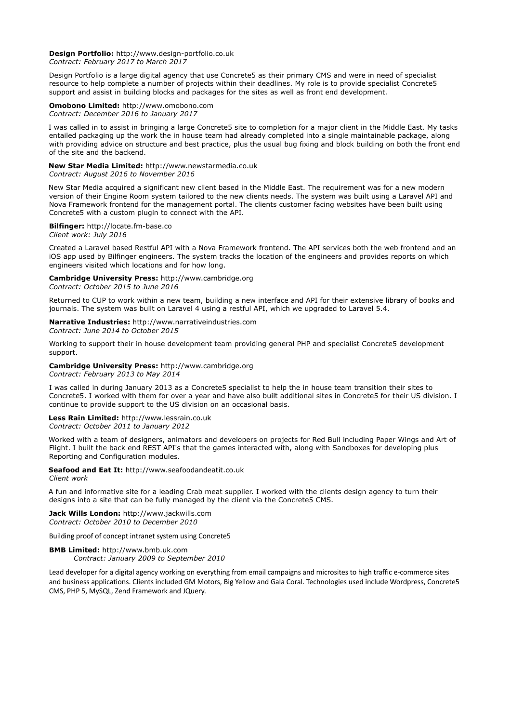#### **Design Portfolio:** http://www.design-portfolio.co.uk *Contract: February 2017 to March 2017*

Design Portfolio is a large digital agency that use Concrete5 as their primary CMS and were in need of specialist resource to help complete a number of projects within their deadlines. My role is to provide specialist Concrete5 support and assist in building blocks and packages for the sites as well as front end development.

#### **Omobono Limited:** http://www.omobono.com *Contract: December 2016 to January 2017*

I was called in to assist in bringing a large Concrete5 site to completion for a major client in the Middle East. My tasks entailed packaging up the work the in house team had already completed into a single maintainable package, along with providing advice on structure and best practice, plus the usual bug fixing and block building on both the front end of the site and the backend.

#### **New Star Media Limited:** http://www.newstarmedia.co.uk *Contract: August 2016 to November 2016*

New Star Media acquired a significant new client based in the Middle East. The requirement was for a new modern version of their Engine Room system tailored to the new clients needs. The system was built using a Laravel API and Nova Framework frontend for the management portal. The clients customer facing websites have been built using Concrete5 with a custom plugin to connect with the API.

#### **Bilfinger:** http://locate.fm-base.co *Client work: July 2016*

Created a Laravel based Restful API with a Nova Framework frontend. The API services both the web frontend and an iOS app used by Bilfinger engineers. The system tracks the location of the engineers and provides reports on which engineers visited which locations and for how long.

### **Cambridge University Press:** http://www.cambridge.org

*Contract: October 2015 to June 2016*

Returned to CUP to work within a new team, building a new interface and API for their extensive library of books and journals. The system was built on Laravel 4 using a restful API, which we upgraded to Laravel 5.4.

### **Narrative Industries:** http://www.narrativeindustries.com

*Contract: June 2014 to October 2015*

Working to support their in house development team providing general PHP and specialist Concrete5 development support.

#### **Cambridge University Press:** http://www.cambridge.org

*Contract: February 2013 to May 2014*

I was called in during January 2013 as a Concrete5 specialist to help the in house team transition their sites to Concrete5. I worked with them for over a year and have also built additional sites in Concrete5 for their US division. I continue to provide support to the US division on an occasional basis.

#### **Less Rain Limited:** http://www.lessrain.co.uk *Contract: October 2011 to January 2012*

Worked with a team of designers, animators and developers on projects for Red Bull including Paper Wings and Art of Flight. I built the back end REST API's that the games interacted with, along with Sandboxes for developing plus Reporting and Configuration modules.

#### **Seafood and Eat It:** http://www.seafoodandeatit.co.uk *Client work*

A fun and informative site for a leading Crab meat supplier. I worked with the clients design agency to turn their designs into a site that can be fully managed by the client via the Concrete5 CMS.

#### **Jack Wills London:** http://www.jackwills.com *Contract: October 2010 to December 2010*

Building proof of concept intranet system using Concrete5

#### **BMB Limited:** http://www.bmb.uk.com *Contract: January 2009 to September 2010*

Lead developer for a digital agency working on everything from email campaigns and microsites to high traffic e-commerce sites and business applications. Clients included GM Motors, Big Yellow and Gala Coral. Technologies used include Wordpress, Concrete5 CMS, PHP 5, MySQL, Zend Framework and JQuery.